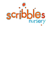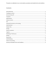This policy is an addendum to our current policies, procedures and standard terms and conditions.

# Contents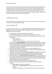## <span id="page-2-0"></span>Social distancing

The early years sector know that unlike older children and adults, babies and young children cannot be expected to remain two metres apart from each other and staff. The government guidelines acknowledges this and so advises that grouping measures are put in place. Scribbles has amended it's policies and procedures to help minimise the risk of infection through avoiding contact with anyone with symptoms, frequent hand cleaning, good respiratory hygiene practices, regular cleaning of settings, minimising contact and mixing, where possible.

## <span id="page-2-1"></span>Travelling to nursery

Parents and children are encouraged to travel by car, walk or cycle where possible and avoid public transport when travelling to/from the setting.

## <span id="page-2-2"></span>Arrival and drop off

To minimise footfall through the nursery **drop off and collection takes place outside of the nursery building**. It is imperative that all parents follow this guidance to ensure everyone's safety. The following should also be considered:

- No child should be brought to the setting if they are unwell
- No child should be brought to the setting if they are showing signs of COVID-19
- Any child (or family member) that shows any of the following symptoms on drop off will be refused entry:
	- o High temperature
	- o A new continuous cough
	- o Anosmia- a loss of, or change in, your normal sense of taste or smell
- Please only send **one designated adult** to carry out the drop off and collection of your child to minimise the number of adults at the setting. We will work together with you to ensure your child can be welcomed and settled by a familiar adult. This may involve having a safe space where key children are dropped off/collected around the same time and then transferred to their base room together
- Key staff will have registers, so attendance will be marked immediately on entry
- Only parents who are symptom free and/or have completed the required isolation periods will be able to drop off or collect their child
- All parent/carers are asked to follow **safe social distancing** when dropping off and collecting children. There will be safe distancing markings outside of the setting to show these
- All parent/carers are asked to **wear a mask** when dropping off and collecting children.
- Each family will be given an **allocated drop off and collection time** and we ask that you meet these set times, as this will allow us to be able to monitor the number of adults dropping off and collecting at one time; and to make sure that a familiar adult, from the setting, is able to collect your child from the adult dropping them off.
- Children should be dropped off by one adult to the designated door.
- Strict social distancing must be adhered to by the parent/carer during drop off and collection:
	- o **Only 1 adult** to approach with child/children
	- o Ring the buzzer then **stand 2m back** from the door and wait for the door to be answered
	- o If possible, child/children to walk over without adult for last 2 metres before entry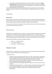• If one family is already using entry/exit point, then other families to remain in a **socially distanced queue** until the family has left. We are aware that this will mean that drop off and pick up will take longer than usual but we appreciate your co-operation in maintaining social distancing at these busy times.

Further information will be communicated to all parents in the usual ways prior to the start date. We will also continue to keep you up to date as government guidelines change and we review our practice.

### <span id="page-3-0"></span>**Transitions**

### **Moving rooms**:

Room transitions will be based on individual needs based on the child's age/stage of development and how their key person, and parent, feels they will respond to any changes. Children will visit their new room before they move and where possible we will move children in groups.

The new key person will contact the parents the week before the transition to introduce themselves and answer any questions they may have.

### <span id="page-3-1"></span>Daily Routines

Although the current guidance does not require us to keep the children in bubbles we are continuing to keep them in their class groups where possible to minimise the risk of an outbreak should we have a positive case. There may be times where we do have to mix class groups to maintain staffing ratios for example, however these will be kept to a minimum and will only occur where necessary.

We will maintain OFSTED ratios within the bubbles as follows:

- Under 2's 1 staff for 3 children
- $\bullet$  2-3 1 staff for 4 children
- 3 and above  $-1$  staff for 8 children

## <span id="page-3-2"></span>Infection Control

We will continue to implement our strict infection control policy, through maintaining high hygiene standards to reduce the chances of infection being spread.

In particular we will:

- Implement robust handwashing routines with extra stations, where possible. Hands will be washed thoroughly for 20 seconds with running water and soap, and dried thoroughly, or use alcohol hand rub/sanitiser ensuring that all parts of the hands are covered
- Clean hands on arrival at the setting, before and after eating, entering and leaving the garden, using the toilet and after sneezing or coughing
- Encourage staff and, where age/stage appropriate, children not to touch their mouth, eyes and nose
- Ensure good respiratory hygiene use a tissue or elbow to cough or sneeze and use bins for tissue waste; promoting the 'catch it, bin it, kill it' approach for all staff and children
- Ensure that help is available for children who have trouble cleaning their hands independently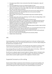- Encourage young children to learn and practise these habits through games, songs and repetition
- Ensure that lidded bins for tissues are emptied throughout the day
- Clean frequently touched surfaces often using standard products, (including surfaces that children are touching, such as toys, books, tables, chairs, doors, sinks; wiping down toilets after each use, light switches, bannisters)
- Children will be discouraged from bringing items from home into the setting unless it is absolutely essential for their well-being. Where this is the case items should be appropriately cleaned upon arrival.
- Where possible, ensure spaces are well ventilated using natural ventilation (opening windows)
- Prop doors open, where safe to do so (bearing in mind fire safety and safeguarding), to limit use of door handles and aid ventilation
- Take steps to ensure symptomatic individuals do not attend nursery
- Minimise contact and mixing as much as possible (such as by staggered break/meal times, keeping staff and children in smaller consistent groups, ensuring that the same staff are assigned to each group as far as possible and keep children in the same rooms/areas/outdoor area throughout the day)
- Ensure play equipment is appropriately cleaned between groups of children using it and that multiple groups do not use it simultaneously.
- Increased frequency of cleaning; toys cleaned after use, any toys/equipment/resources that cannot be easily cleaned e.g. soft toys will not be used during this time
- There will be safe distancing of bed/cots (where possible) and children will be positioned away from each other during sleep times.
- Items such as towels, flannels and bedding will not be shared by children
- Outdoor shoes removed inside

### <span id="page-4-0"></span>PPE

Government guidance is that PPE is not required for general use in early year's settings to protect against COVID- 19 transmission. PPE will be continued to be worn as normal for nappy changing and the administration of paediatric first aid.

PPE will also be worn by staff caring for a sick child while they await collection if a distance of two metres cannot be maintained (such as for a very young child or a child with complex needs.)

Face coverings will be worn by staff and for handovers and by visitors to the setting. Children will not be asked to wear face coverings as per the government guidelines.

We will ensure an adequate supply of essential supplies by ordering in advance. Contingency plans are in place to minimise the impact of any shortages of supplies. The setting will not be able to operate without essential supplies required for the management of infection control.

## <span id="page-4-1"></span>Suspected Coronavirus at the setting

Routine testing of children's temperatures will not take place as per government guidelines. We remind parents and staff to follow national advice on Covid-19 symptoms. We ask all staff and parents to follow government advice if anyone in their household displays any symptoms.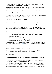If a child has a high temperature whilst at nursery, parents will be called immediately. The child will be cared for in a separate room from the other children and the staff member will, in these cases, wear a face covering to minimise the spread of infection.

As part of the new policy, it is required that all parents/carers must have the ability to be able to **collect the child within 30 minutes** of notification from the nursery.

This is extremely important, as if any child is showing symptoms, we require them to be collected from the setting immediately.

**All contact details must be reviewed** to ensure that they are all correct. As many families may currently not be able to mix with other households, emergency contacts may need to be reviewed to ensure your child can be collected within the specified time.

## Tracing close contacts and self-isolation

Close contacts in early years settings are now being identified by NHS Test and Trace and education, and childcare settings will no longer be expected to undertake contact tracing.

NHS Test and Trace will work with the positive case to identify close contacts. Contacts from a setting will only be traced by NHS Test and Trace where the positive case and/or their parent or carer specifically identifies the individual as being a close contact. This is likely to be a small number of individuals who would be most at risk of contracting COVID-19 due to the nature of the close contact.

Individuals are not required to self-isolate if they live in the same household as someone with COVID-19, or are a close contact of a positive COVID-19 case, and any of the following apply:

- they are fully vaccinated.
- they are below the age of 18 years 6 months
- they have taken part in or are currently part of an approved COVID-19 vaccine trial
- they are not able to get vaccinated for medical reasons

Instead they will be contacted by NHS Test and Trace, informed they have been in close contact with a positive case and advised to take a PCR [test.](https://www.gov.uk/get-coronavirus-test) We would encourage all individuals to take a PCR test if advised to do so.

Children who are aged under 5 years old who are identified as close contacts will only be advised to take a PCR test if the positive case is in their own household.

Staff who do not need to self-isolate, and children who usually attend the setting, and have been identified as a close contact, should continue to attend the setting as normal..

## <span id="page-5-0"></span>Food And Drink

We are committed to offering children healthy, nutritious and balanced meals and snacks which meet individual needs and requirements, and we will continue to follow this policy. However, due to high demand for delivery slots and some issues with supply, there may be some changes to the set menus on offer. We will communicate any changes to you.

Fresh drinking water is always available and accessible, and we will ensure that cups are cleaned after each use and not shared. All children are required to bring their own labelled water bottle.

Meal times may be staggered to allow for smaller groups of children to eat at any one time, this may mean that your child will eat slightly earlier/later than usual. Again any changes will be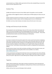communicated to you. Children will be supervised at all times when eating/drinking, to ensure that they do not share cup/utensils or food.

## <span id="page-6-0"></span>Outdoor Play

Scribbles will maximise the amount of time children spend in the garden as much as possible.

Time outdoors will be staggered to allow for smaller groups of children going out to play at any one time.

Outdoor equipment will only be used where we are able to ensure that it is appropriately cleaned between groups of children using it, and that multiple groups do not use it simultaneously.

All children must have indoor footwear and outdoor shoes will not be worn in the nursery

## <span id="page-6-1"></span>Outings and Extracurricular Activities

We are pleased to start reintroducing our trips out of the nursery, these will be to the woods and walks in the local area although we will be avoiding playgrounds at the moment. We will also be reintroducing French lessons for Koalas and French and Drama lessons for Aardvarks. These will be provided by external teachers who will be following our COVID policies.

## <span id="page-6-2"></span>Parents as partners

As we have to minimise the time parents spend at the nursery we will communicate via telephone, email, Zoom and Tapestry and ask you to do the same to share information about your child. Staff will maintain safe distancing when meeting you at the beginning and end of each day and we ask that you use phone, Tapestry or email to discuss any non-urgent matters about your child rather than face-to-face. This will help to minimise delays for parents on dropping off and collecting your children.

We will continue to keep in touch with any families and children not yet returning to nursery, and keep sending through home learning ideas which are also available on our website, [www.scribblesnursery.co.uk](http://www.scribblesnursery.co.uk/)

Nursery events/parent evenings will not take place in the nursery during this time and we will keep you updated as government guidelines change. We will arrange an alternative way to communicate with you for parent's night and are currently offering Zoom meetings to discuss children's reports.

### <span id="page-6-3"></span>Tapestry

Children will be provided with a wide range of activities and experiences and we will spend time observing and assessing children's development, working with you to find out current interests and plan appropriate next steps.

Children will have their two-year old progress check as planned.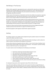# <span id="page-7-0"></span>Well Being In The Nursery

Children will be supported in age appropriate ways to understand the steps they can take to keep themselves safe including regular hand washing and sneezing into a tissue. Staff will help them to understand the changes and challenges they may have/be encountering as a result of Covid-19 through play, discussions and stories.

Staff are aware of the importance of attachments and that some children may experience separation anxieties during this time. They will work with parents to ensure they help to ease the transition back to nursery and give children the emotional support they need at this time.

We recognise that children and their families may have experienced grief and loss of close family members, or friends, during the pandemic. We understand that this is not only a difficult time for families, but it may also be a confusing time for young children, especially if they have little or no understanding of why their parents are upset and why this person is no longer around.

We will aim to discuss with each family any bereavements that may have happened during the lockdown period and work with them to support the child the best we can.

We will also signpost to other agencies should further support be required.

### <span id="page-7-1"></span>Settling

The settling in policy for new children will be adapted during the pandemic based on the individual needs of the children and staff at nursery.

Any new families will be asked to sign a health declaration before attending to confirm neither the child nor anyone in the family has any symptoms of coronavirus.

Parents will be invited into the garden with their child for 1 hour on the first day of settling to meet the key worker and go through nursery policies and procedures. If the weather is bad then settling will occur inside the nursery in an unoccupied room.

If a parent needs to enter the building then the following must be followed:

- Parent/carer should wear facemask (please bring your own)
- Only 1 parent/carer will be allowed in the building
- Spray down shoes with anti-bacterial/viral spray
- Parent/carer to apply 70% alcohol gel to their hands at the door
- Both child and parent/carer to wash hand thoroughly
- Parent maintain social distancing, staying 2 meters away from staff
- Once parent/carer has left, a clean of area where the parent and child were settling will be completed.

On subsequent days parents will be requested to drop off their child at the door.

If any child needs additional settling with their parent present this will be arranged following our COVID procedures. We will work with parents to try and find a suitable balance that ensures social distancing from adults but meets children's individual emotional needs and ensure they feel settled at nursery.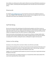Once children are settled parents will be asked to follow the same drop off/collection procedures as the other children, maintaining safe distancing between them and others (see arrival and drop off policy.)

### <span id="page-8-0"></span>Showrounds

Our website [www.scribblesnursery.co.uk](http://www.scribblesnursery.co.uk/) has virtual tours of each room available for parents to view. We are happy to offer online video calls with a member of the management team for further information and in person tours following on from the Zoom call.

## <span id="page-8-1"></span>Staff Well Being

We are very conscious of the well-being of all staff during the pandemic and of their concerns as they return to caring for children. Regular meetings/supervisions will be planned to support staff and reflect with staff on how the new arrangements are working in practice, how they feel they and the children are coping and review if we need to improve or modify anything.

Good communication and sharing plans and risk assessments will help to manage anxieties about returning to work and staff workloads will be carefully managed during this time with the emphasis on playing with the children; settling them back in, offering lots of support and reassurance

## <span id="page-8-2"></span>Visitors to the setting

Attendance to the setting will be restricted to children and staff where practicable..

Visitors will only be allowed to enter where prior permission has been granted and that they are not displaying any symptoms of coronavirus. They will be asked to wear a mask and sign a declaration form. The supervision of visitor's policy will be followed in these cases.

Suppliers such as food deliveries will be asked not to enter the nursery but to ring the bell and leave the delivery at the door.

Where essential visitors e.g. building maintenance, are required these will be made outside of the usual nursery operational hours where possible.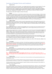### <span id="page-9-0"></span>Summary of Standard Terms and Conditions

### • **Registration Fees**

You are required to register your child at Scribbles. A non-refundable registration fee is payable for each child registered. If no place is available the child will be placed on a waiting list, however, registration does not guarantee a space. Changes to registration requirements must be made in writing and may result in a further administrative charge. A minimum of two full days (or equivalent) is required for children under 3 yrs. **Children 3 years and above must do a minimum of 2 full days if claiming 15hrs free entitlement and 3 full days if claiming 30hrs free entitlement.** *Please note if a change of sessions is required this is subject to availability.* 

#### **The Nursery does not allow staff to babysit for clients of the nursery**

#### • **Retainer**

Prior to starting at Scribbles Nursery, one month's fees are required, without exception, to secure your child's place. An offer of a place will be made in writing with a request for payment of the retainer. If no retainer is received by the Nursery **within one week** of the date of our letter, the place may be withdrawn. If you increase your sessions at Scribbles at any time you may be required to pay the increase in retainer. The retainer will be returned on leaving Scribbles **only if the child has attended the nursery for at least six months and two full calendar months (from the 1st of the month) are given as notice, in writing.** No refunds on retainers will be made except on children leaving the nursery. Retainers due to be returned are refunded after the first day of the following billing period.

#### • **Change of sessions**

One full calendar month notice is required, in writing, if you wish to change sessions at any time. Where possible the nursery will try to accommodate any change of sessions request. One change of sessions per year will be allowed free of charge. Any changes requested after this will incur an administrative fee of £30 per change. **Change of sessions are not permitted during the final two month notice period of leaving the nursery**.

#### • **Payment of Fees**

Fees are payable monthly in advance by standing order to be received on the first of the month. Forms can be obtained from the office. Regular payment monthly by cheque or cash will not be acceptable. Fees for a child will change when they move into the next room, if appropriate, and **not** automatically on their birthday.

Sessions can only be changed from the 1<sup>st</sup> of the month. Change of sessions is not permitted mid-month. **Fees cannot be changed in the middle of a month.** Parents are held responsible for all outstanding fees. The nursery is not liable for collections from third parties, e.g. University / colleges, voucher providers, grant funding agencies. Fees are reviewed annually and any increases notified to parents one month ahead of implementation. A 5% sibling discount is available, applicable to the fees of the eldest child and will commence on the first full month attended by the younger sibling unless the child is receiving any free entitlements.

The Nursery accepts **electronic** childcare vouchers as payment against fees and operates the Early Years Free Entitlement for 3-5 year olds. Childcare Vouchers must be credited by the voucher provider to the Nursery's account prior to 1st of the month. **Paper vouchers are not accepted by the nursery and refunds from overpayment by vouchers cannot be made.**

**Automatic late payment penalties will be incurred if payment is not received on time: £50 or 10% of monies due, whichever is the greater.**

#### • **First Payment**

Parents will be invoiced for the first month, or part thereof. First month fees are calculated on a 'per session basis' starting from the Monday following the settling week, until this equates to more than the normal monthly fee when the lesser will be charged. **There is no charge for the first settling week**. The first months fees are payable by the end of the settling week. Should a mutually agreed start date be postponed by parents, the Nursery reserves the right to charge from the original start date as indicated on the nursery application form / placement offer letter.

#### • **Extra Sessions**

Where possible the nursery will try to accommodate requests for extra sessions. Requests must be made to the manager. These sessions are subject to availability and are charged at the daily rate. Sessions can only be booked up to one week in advance on receipt of payment and are non-refundable/changeable.

#### • **Notice Period and Last Payment**

**When a child wishes to leave the nursery, two full calendar months (from the 1st of the month) must be given as notice, in writing. The final payment will be for one whole calendar month and no refunds will be given for children leaving part way through a month.**

#### • **Variation of Fees**

Scribbles Nursery Limited reserves the right to review and revise its fees and conditions at any time giving twenty eight days notice in writing to parents / carers.

The Nursery reserves the right to terminate a placement if fees are not paid by the due date, if parents / carers fail to observe the Policies & Procedures of the Nursery, or a parent, carer or child displays abusive, threatening or otherwise inappropriate behaviour.

The Nursery reserves the right to terminate a placement if important information concerning or affecting your child is withheld / not communicated to Nursery management and staff.

#### • **Hours of Operation**

Scribbles is open for approximately 50 weeks each year, closing between Christmas and New Year, at Easter for a week, all Bank Holidays and four staff training days. Full fees are payable during closure periods and refunds/ alternative sessions will not be given if a child is absent for any reason e.g. holiday, illness, or if the nursery has to close due to reasons outside our control e.g. extreme weather conditions. The Nursery does not accept responsibility for any loss or inconvenience suffered by parents arising directly or indirectly